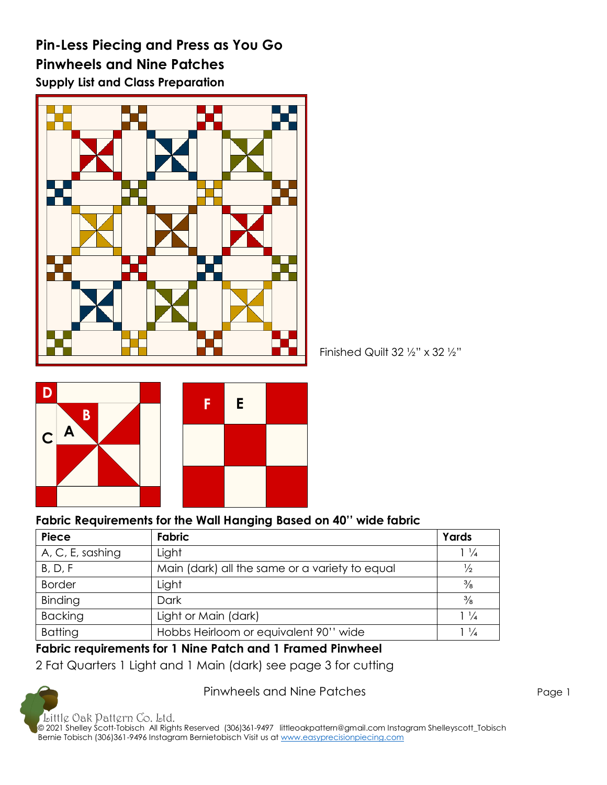**Pin-Less Piecing and Press as You Go Pinwheels and Nine Patches Supply List and Class Preparation**



**E C C V F D C B A**

**Fabric Requirements for the Wall Hanging Based on 40'' wide fabric**

| <b>TADIO REQUISITIONS TOF INC. ITALI HANGED BASES ON TV. INVESTIGATIO</b> |                                                |                |
|---------------------------------------------------------------------------|------------------------------------------------|----------------|
| <b>Piece</b>                                                              | <b>Fabric</b>                                  | Yards          |
| A, C, E, sashing                                                          | Light                                          | $1\frac{1}{4}$ |
| B, D, F                                                                   | Main (dark) all the same or a variety to equal | $\frac{1}{2}$  |
| <b>Border</b>                                                             | Light                                          | $\frac{3}{8}$  |
| Binding                                                                   | Dark                                           | $\frac{3}{8}$  |
| <b>Backing</b>                                                            | Light or Main (dark)                           | $1\frac{1}{4}$ |
| <b>Batting</b>                                                            | Hobbs Heirloom or equivalent 90" wide          | $1\frac{1}{4}$ |

Finished Quilt  $32 \frac{1}{2}$ " x  $32 \frac{1}{2}$ "

#### **Fabric requirements for 1 Nine Patch and 1 Framed Pinwheel**

2 Fat Quarters 1 Light and 1 Main (dark) see page 3 for cutting

Pinwheels and Nine Patches **Page 1** Page 1

Little Oak Pattern Co. Ltd. © 2021 Shelley Scott-Tobisch All Rights Reserved (306)361-9497 [littleoakpattern@gmail.com](mailto:littleoakpattern@gmail.com) Instagram Shelleyscott\_Tobisch Bernie Tobisch (306)361-9496 Instagram Bernietobisch Visit us a[t www.easyprecisionpiecing.com](http://www.easyprecisionpiecing.com/)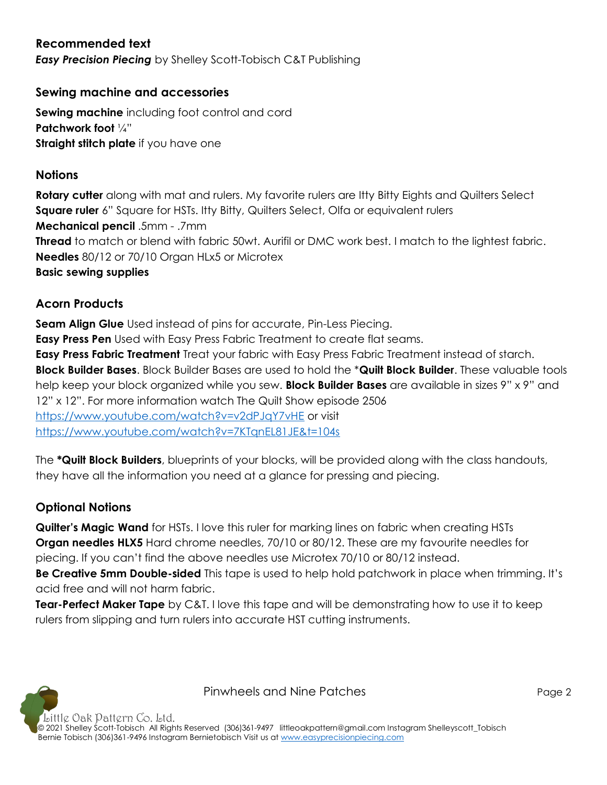## **Recommended text**

*Easy Precision Piecing* by Shelley Scott-Tobisch C&T Publishing

#### **Sewing machine and accessories**

**Sewing machine** including foot control and cord **Patchwork foot** ¼" **Straight stitch plate** if you have one

#### **Notions**

**Rotary cutter** along with mat and rulers. My favorite rulers are Itty Bitty Eights and Quilters Select **Square ruler** 6" Square for HSTs. Itty Bitty, Quilters Select, Olfa or equivalent rulers **Mechanical pencil** .5mm - .7mm **Thread** to match or blend with fabric 50wt. Aurifil or DMC work best. I match to the lightest fabric. **Needles** 80/12 or 70/10 Organ HLx5 or Microtex **Basic sewing supplies** 

## **Acorn Products**

**Seam Align Glue** Used instead of pins for accurate, Pin-Less Piecing. **Easy Press Pen** Used with Easy Press Fabric Treatment to create flat seams. **Easy Press Fabric Treatment** Treat your fabric with Easy Press Fabric Treatment instead of starch. **Block Builder Bases**. Block Builder Bases are used to hold the \***Quilt Block Builder**. These valuable tools help keep your block organized while you sew. **Block Builder Bases** are available in sizes 9" x 9" and 12" x 12". For more information watch The Quilt Show episode 2506 <https://www.youtube.com/watch?v=v2dPJqY7vHE> or visit <https://www.youtube.com/watch?v=7KTqnEL81JE&t=104s>

The **\*Quilt Block Builders**, blueprints of your blocks, will be provided along with the class handouts, they have all the information you need at a glance for pressing and piecing.

## **Optional Notions**

**Quilter's Magic Wand** for HSTs. I love this ruler for marking lines on fabric when creating HSTs **Organ needles HLX5** Hard chrome needles, 70/10 or 80/12. These are my favourite needles for piecing. If you can't find the above needles use Microtex 70/10 or 80/12 instead.

**Be Creative 5mm Double-sided** This tape is used to help hold patchwork in place when trimming. It's acid free and will not harm fabric.

**Tear-Perfect Maker Tape** by C&T. I love this tape and will be demonstrating how to use it to keep rulers from slipping and turn rulers into accurate HST cutting instruments.